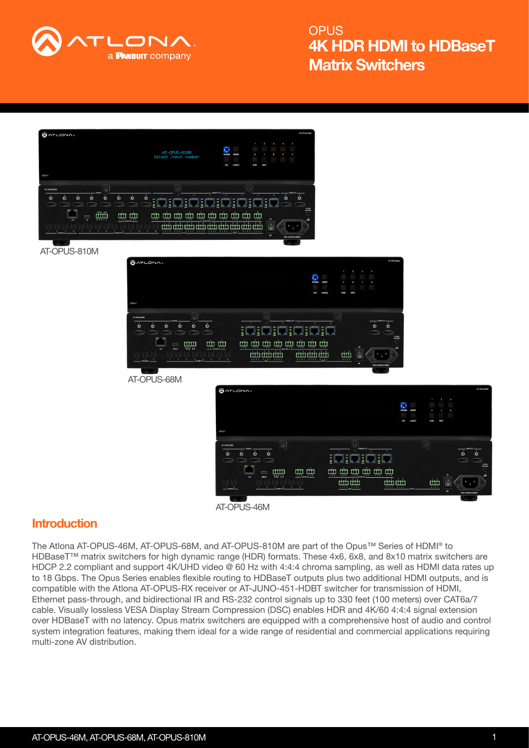



### **Introduction**

The Atlona AT-OPUS-46M, AT-OPUS-68M, and AT-OPUS-810M are part of the Opus™ Series of HDMI® to HDBaseT™ matrix switchers for high dynamic range (HDR) formats. These 4x6, 6x8, and 8x10 matrix switchers are HDCP 2.2 compliant and support 4K/UHD video @ 60 Hz with 4:4:4 chroma sampling, as well as HDMI data rates up to 18 Gbps. The Opus Series enables flexible routing to HDBaseT outputs plus two additional HDMI outputs, and is compatible with the Atlona AT-OPUS-RX receiver or AT-JUNO-451-HDBT switcher for transmission of HDMI, Ethernet pass-through, and bidirectional IR and RS-232 control signals up to 330 feet (100 meters) over CAT6a/7 cable. Visually lossless VESA Display Stream Compression (DSC) enables HDR and 4K/60 4:4:4 signal extension over HDBaseT with no latency. Opus matrix switchers are equipped with a comprehensive host of audio and control system integration features, making them ideal for a wide range of residential and commercial applications requiring multi-zone AV distribution.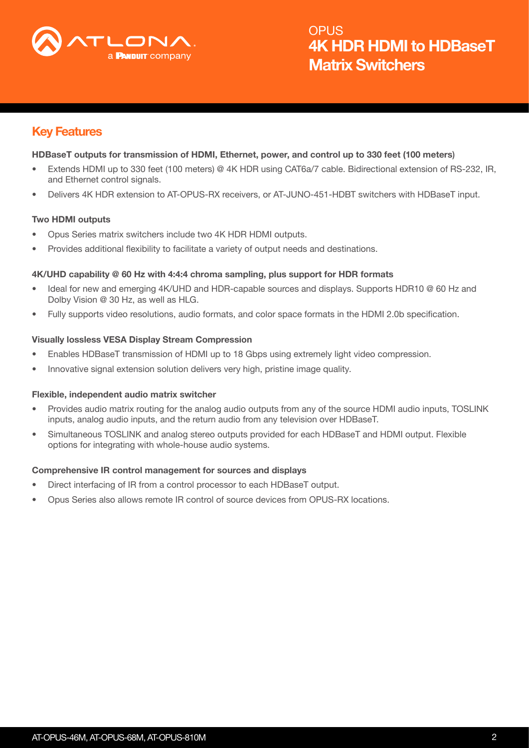

## Key Features

#### HDBaseT outputs for transmission of HDMI, Ethernet, power, and control up to 330 feet (100 meters)

- Extends HDMI up to 330 feet (100 meters) @ 4K HDR using CAT6a/7 cable. Bidirectional extension of RS-232, IR, and Ethernet control signals.
- Delivers 4K HDR extension to AT-OPUS-RX receivers, or AT-JUNO-451-HDBT switchers with HDBaseT input.

#### Two HDMI outputs

- Opus Series matrix switchers include two 4K HDR HDMI outputs.
- Provides additional flexibility to facilitate a variety of output needs and destinations.

#### 4K/UHD capability @ 60 Hz with 4:4:4 chroma sampling, plus support for HDR formats

- Ideal for new and emerging 4K/UHD and HDR-capable sources and displays. Supports HDR10 @ 60 Hz and Dolby Vision @ 30 Hz, as well as HLG.
- Fully supports video resolutions, audio formats, and color space formats in the HDMI 2.0b specification.

#### Visually lossless VESA Display Stream Compression

- Enables HDBaseT transmission of HDMI up to 18 Gbps using extremely light video compression.
- Innovative signal extension solution delivers very high, pristine image quality.

#### Flexible, independent audio matrix switcher

- Provides audio matrix routing for the analog audio outputs from any of the source HDMI audio inputs, TOSLINK inputs, analog audio inputs, and the return audio from any television over HDBaseT.
- Simultaneous TOSLINK and analog stereo outputs provided for each HDBaseT and HDMI output. Flexible options for integrating with whole-house audio systems.

#### Comprehensive IR control management for sources and displays

- Direct interfacing of IR from a control processor to each HDBaseT output.
- Opus Series also allows remote IR control of source devices from OPUS-RX locations.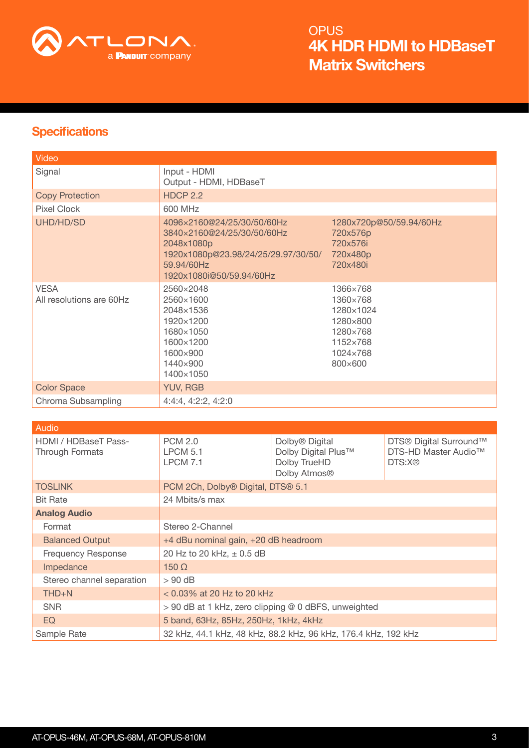

## **Specifications**

| Video                                   |                                                                                                                                                         |                                                                                              |
|-----------------------------------------|---------------------------------------------------------------------------------------------------------------------------------------------------------|----------------------------------------------------------------------------------------------|
| Signal                                  | Input - HDMI<br>Output - HDMI, HDBaseT                                                                                                                  |                                                                                              |
| <b>Copy Protection</b>                  | <b>HDCP 2.2</b>                                                                                                                                         |                                                                                              |
| Pixel Clock                             | 600 MHz                                                                                                                                                 |                                                                                              |
| UHD/HD/SD                               | 4096×2160@24/25/30/50/60Hz<br>3840×2160@24/25/30/50/60Hz<br>2048x1080p<br>1920x1080p@23.98/24/25/29.97/30/50/<br>59.94/60Hz<br>1920x1080i@50/59.94/60Hz | 1280x720p@50/59.94/60Hz<br>720x576p<br>720x576i<br>720x480p<br>720x480i                      |
| <b>VESA</b><br>All resolutions are 60Hz | 2560×2048<br>2560×1600<br>2048×1536<br>1920×1200<br>1680×1050<br>1600×1200<br>1600×900<br>1440×900<br>1400×1050                                         | 1366×768<br>1360×768<br>1280×1024<br>1280×800<br>1280×768<br>1152×768<br>1024×768<br>800×600 |
| <b>Color Space</b>                      | <b>YUV, RGB</b>                                                                                                                                         |                                                                                              |
| Chroma Subsampling                      | 4:4:4, 4:2:2, 4:2:0                                                                                                                                     |                                                                                              |

| Audio                                   |                                                                |                                                                                               |                                                                      |
|-----------------------------------------|----------------------------------------------------------------|-----------------------------------------------------------------------------------------------|----------------------------------------------------------------------|
| HDMI / HDBaseT Pass-<br>Through Formats | <b>PCM 2.0</b><br><b>LPCM 5.1</b><br><b>LPCM 7.1</b>           | Dolby <sup>®</sup> Digital<br>Dolby Digital Plus™<br>Dolby TrueHD<br>Dolby Atmos <sup>®</sup> | DTS® Digital Surround™<br>DTS-HD Master Audio <sup>™</sup><br>DTS:X® |
| <b>TOSLINK</b>                          | PCM 2Ch, Dolby® Digital, DTS® 5.1                              |                                                                                               |                                                                      |
| <b>Bit Rate</b>                         | 24 Mbits/s max                                                 |                                                                                               |                                                                      |
| <b>Analog Audio</b>                     |                                                                |                                                                                               |                                                                      |
| Format                                  | Stereo 2-Channel                                               |                                                                                               |                                                                      |
| <b>Balanced Output</b>                  | +4 dBu nominal gain, +20 dB headroom                           |                                                                                               |                                                                      |
| <b>Frequency Response</b>               | 20 Hz to 20 kHz, ± 0.5 dB                                      |                                                                                               |                                                                      |
| Impedance                               | $150 \Omega$                                                   |                                                                                               |                                                                      |
| Stereo channel separation               | $>90$ dB                                                       |                                                                                               |                                                                      |
| $THD + N$                               | $<$ 0.03% at 20 Hz to 20 kHz                                   |                                                                                               |                                                                      |
| <b>SNR</b>                              | > 90 dB at 1 kHz, zero clipping @ 0 dBFS, unweighted           |                                                                                               |                                                                      |
| EQ                                      | 5 band, 63Hz, 85Hz, 250Hz, 1kHz, 4kHz                          |                                                                                               |                                                                      |
| Sample Rate                             | 32 kHz, 44.1 kHz, 48 kHz, 88.2 kHz, 96 kHz, 176.4 kHz, 192 kHz |                                                                                               |                                                                      |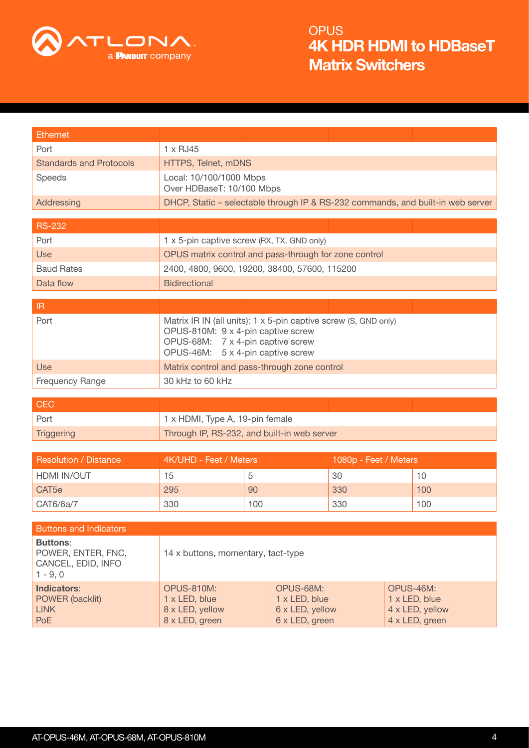

| <b>Ethernet</b>                                                           |                                                                                                                                                                                 |     |  |                                                                 |                                                                                 |
|---------------------------------------------------------------------------|---------------------------------------------------------------------------------------------------------------------------------------------------------------------------------|-----|--|-----------------------------------------------------------------|---------------------------------------------------------------------------------|
| Port                                                                      | $1 \times$ RJ45                                                                                                                                                                 |     |  |                                                                 |                                                                                 |
| <b>Standards and Protocols</b>                                            | HTTPS, Telnet, mDNS                                                                                                                                                             |     |  |                                                                 |                                                                                 |
| Speeds                                                                    | Local: 10/100/1000 Mbps<br>Over HDBaseT: 10/100 Mbps                                                                                                                            |     |  |                                                                 |                                                                                 |
| Addressing                                                                |                                                                                                                                                                                 |     |  |                                                                 | DHCP, Static – selectable through IP & RS-232 commands, and built-in web server |
|                                                                           |                                                                                                                                                                                 |     |  |                                                                 |                                                                                 |
| <b>RS-232</b>                                                             |                                                                                                                                                                                 |     |  |                                                                 |                                                                                 |
| Port                                                                      | 1 x 5-pin captive screw (RX, TX, GND only)<br>OPUS matrix control and pass-through for zone control                                                                             |     |  |                                                                 |                                                                                 |
| <b>Use</b>                                                                |                                                                                                                                                                                 |     |  |                                                                 |                                                                                 |
| <b>Baud Rates</b>                                                         | 2400, 4800, 9600, 19200, 38400, 57600, 115200                                                                                                                                   |     |  |                                                                 |                                                                                 |
| Data flow                                                                 | <b>Bidirectional</b>                                                                                                                                                            |     |  |                                                                 |                                                                                 |
| $\ensuremath{\mathsf{IR}}\xspace$                                         |                                                                                                                                                                                 |     |  |                                                                 |                                                                                 |
| Port                                                                      | Matrix IR IN (all units): 1 x 5-pin captive screw (S, GND only)<br>OPUS-810M: 9 x 4-pin captive screw<br>OPUS-68M: 7 x 4-pin captive screw<br>OPUS-46M: 5 x 4-pin captive screw |     |  |                                                                 |                                                                                 |
| <b>Use</b>                                                                | Matrix control and pass-through zone control                                                                                                                                    |     |  |                                                                 |                                                                                 |
| <b>Frequency Range</b>                                                    | 30 kHz to 60 kHz                                                                                                                                                                |     |  |                                                                 |                                                                                 |
|                                                                           |                                                                                                                                                                                 |     |  |                                                                 |                                                                                 |
| <b>CEC</b>                                                                |                                                                                                                                                                                 |     |  |                                                                 |                                                                                 |
| Port                                                                      | 1 x HDMI, Type A, 19-pin female                                                                                                                                                 |     |  |                                                                 |                                                                                 |
| <b>Triggering</b>                                                         | Through IP, RS-232, and built-in web server                                                                                                                                     |     |  |                                                                 |                                                                                 |
|                                                                           |                                                                                                                                                                                 |     |  |                                                                 |                                                                                 |
| <b>Resolution / Distance</b>                                              | 4K/UHD - Feet / Meters                                                                                                                                                          |     |  | 1080p - Feet / Meters                                           |                                                                                 |
| HDMI IN/OUT                                                               | 15                                                                                                                                                                              | 5   |  | 30                                                              | 10                                                                              |
| CAT <sub>5e</sub>                                                         | 295                                                                                                                                                                             | 90  |  | 330                                                             | 100                                                                             |
| CAT6/6a/7                                                                 | 330                                                                                                                                                                             | 100 |  | 330                                                             | 100                                                                             |
| <b>Buttons and Indicators</b>                                             |                                                                                                                                                                                 |     |  |                                                                 |                                                                                 |
| <b>Buttons:</b><br>POWER, ENTER, FNC,<br>CANCEL, EDID, INFO<br>$1 - 9, 0$ | 14 x buttons, momentary, tact-type                                                                                                                                              |     |  |                                                                 |                                                                                 |
| <b>Indicators:</b><br>POWER (backlit)<br><b>LINK</b><br><b>PoE</b>        | <b>OPUS-810M:</b><br>OPUS-68M:<br>1 x LED, blue<br>1 x LED, blue<br>8 x LED, yellow<br>6 x LED, yellow<br>8 x LED, green<br>6 x LED, green                                      |     |  | OPUS-46M:<br>1 x LED, blue<br>4 x LED, yellow<br>4 x LED, green |                                                                                 |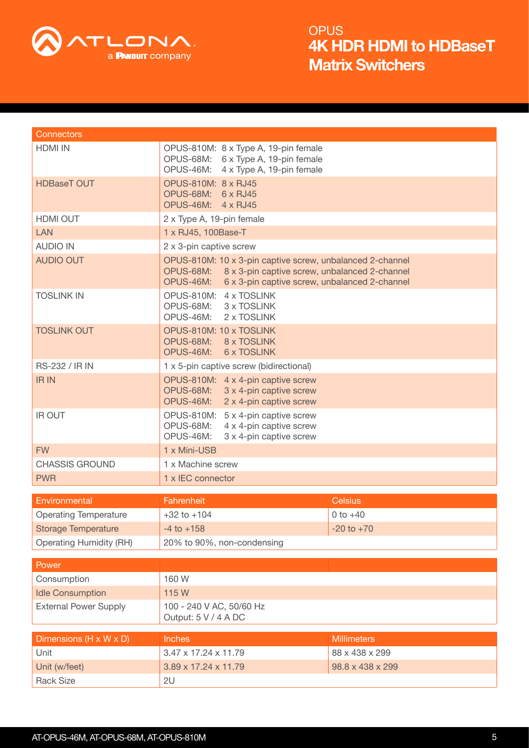

| <b>Connectors</b>              |                                                                                                                                                                                    |                    |
|--------------------------------|------------------------------------------------------------------------------------------------------------------------------------------------------------------------------------|--------------------|
| <b>HDMI IN</b>                 | OPUS-810M: 8 x Type A, 19-pin female                                                                                                                                               |                    |
|                                | OPUS-68M: 6 x Type A, 19-pin female<br>OPUS-46M: 4 x Type A, 19-pin female                                                                                                         |                    |
| <b>HDBaseT OUT</b>             | OPUS-810M: 8 x RJ45                                                                                                                                                                |                    |
|                                | OPUS-68M: 6 x RJ45                                                                                                                                                                 |                    |
|                                | OPUS-46M: 4 x RJ45                                                                                                                                                                 |                    |
| <b>HDMI OUT</b>                | 2 x Type A, 19-pin female                                                                                                                                                          |                    |
| <b>LAN</b>                     | 1 x RJ45, 100Base-T                                                                                                                                                                |                    |
| <b>AUDIO IN</b>                | 2 x 3-pin captive screw                                                                                                                                                            |                    |
| <b>AUDIO OUT</b>               | OPUS-810M: 10 x 3-pin captive screw, unbalanced 2-channel<br>OPUS-68M: 8 x 3-pin captive screw, unbalanced 2-channel<br>OPUS-46M:<br>6 x 3-pin captive screw, unbalanced 2-channel |                    |
| <b>TOSLINK IN</b>              | OPUS-810M: 4 x TOSLINK<br>OPUS-68M: 3 x TOSLINK                                                                                                                                    |                    |
|                                | OPUS-46M:<br>2 x TOSLINK                                                                                                                                                           |                    |
| <b>TOSLINK OUT</b>             | OPUS-810M: 10 x TOSLINK<br>OPUS-68M: 8 x TOSLINK                                                                                                                                   |                    |
|                                | OPUS-46M:<br><b>6 x TOSLINK</b>                                                                                                                                                    |                    |
| <b>RS-232 / IR IN</b>          | 1 x 5-pin captive screw (bidirectional)                                                                                                                                            |                    |
| <b>IR IN</b>                   | OPUS-810M: 4 x 4-pin captive screw                                                                                                                                                 |                    |
|                                | OPUS-68M:<br>3 x 4-pin captive screw<br>OPUS-46M:<br>2 x 4-pin captive screw                                                                                                       |                    |
| <b>IR OUT</b>                  | OPUS-810M: 5 x 4-pin captive screw                                                                                                                                                 |                    |
|                                | OPUS-68M:<br>4 x 4-pin captive screw<br>OPUS-46M:<br>3 x 4-pin captive screw                                                                                                       |                    |
| <b>FW</b>                      | 1 x Mini-USB                                                                                                                                                                       |                    |
| <b>CHASSIS GROUND</b>          | 1 x Machine screw                                                                                                                                                                  |                    |
| <b>PWR</b>                     | 1 x IEC connector                                                                                                                                                                  |                    |
|                                |                                                                                                                                                                                    |                    |
| Environmental                  | Fahrenheit                                                                                                                                                                         | <b>Celsius</b>     |
| <b>Operating Temperature</b>   | $+32$ to $+104$                                                                                                                                                                    | $0 to +40$         |
| <b>Storage Temperature</b>     | $-4$ to $+158$                                                                                                                                                                     | $-20$ to $+70$     |
| <b>Operating Humidity (RH)</b> | 20% to 90%, non-condensing                                                                                                                                                         |                    |
| Power                          |                                                                                                                                                                                    |                    |
| Consumption                    | 160 W                                                                                                                                                                              |                    |
| <b>Idle Consumption</b>        | 115 W                                                                                                                                                                              |                    |
| <b>External Power Supply</b>   | 100 - 240 V AC, 50/60 Hz<br>Output: 5 V / 4 A DC                                                                                                                                   |                    |
|                                |                                                                                                                                                                                    |                    |
| Dimensions (H x W x D)         | Inches                                                                                                                                                                             | <b>Millimeters</b> |
| Unit                           | 3.47 x 17.24 x 11.79                                                                                                                                                               | 88 x 438 x 299     |
| Unit (w/feet)                  | 3.89 x 17.24 x 11.79                                                                                                                                                               | 98.8 x 438 x 299   |
| <b>Rack Size</b>               | 2U                                                                                                                                                                                 |                    |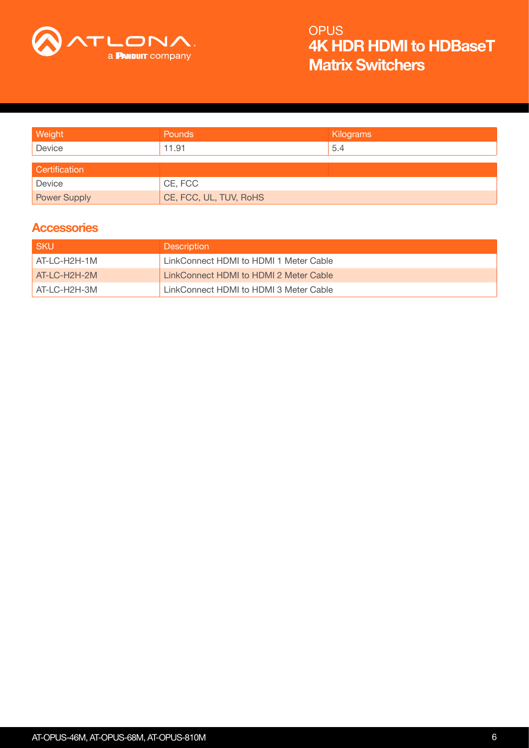

| Weight               | <b>Pounds</b>          | Kilograms |
|----------------------|------------------------|-----------|
| Device               | 11.91                  | 5.4       |
|                      |                        |           |
| <b>Certification</b> |                        |           |
| Device               | CE, FCC                |           |
| <b>Power Supply</b>  | CE, FCC, UL, TUV, RoHS |           |

### **Accessories**

| -SKU         | <b>Description</b>                     |
|--------------|----------------------------------------|
| AT-LC-H2H-1M | LinkConnect HDMI to HDMI 1 Meter Cable |
| AT-LC-H2H-2M | LinkConnect HDMI to HDMI 2 Meter Cable |
| AT-LC-H2H-3M | LinkConnect HDMI to HDMI 3 Meter Cable |